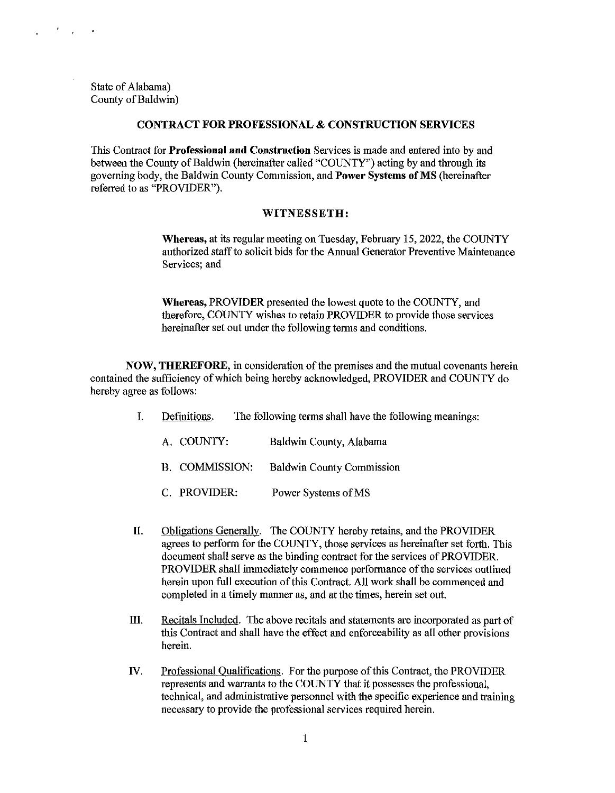State of Alabama) County of Baldwin)

 $\sigma_{\rm{max}}$ 

÷.

#### **CONTRACT FOR PROFESSIONAL & CONSTRUCTION SERVICES**

This Contract for **Professional and Constrnction** Services is made and entered into by and between the County of Baldwin (hereinafter called "COUNTY") acting by and through its governing body, the Baldwin County Commission, and **Power Systems of MS** (hereinafter referred to as "PROVIDER").

#### **WITNESSETH:**

**Whereas,** at its regular meeting on Tuesday, February 15, 2022, the COUNTY authorized staff to solicit bids for the Annual Generator Preventive Maintenance Services; and

**Whereas,** PROVIDER presented the lowest quote to the COUNTY, and therefore, COUNTY wishes to retain PROVIDER to provide those services hereinafter set out under the following terms and conditions.

**NOW, THEREFORE,** in consideration of the premises and the mutual covenants herein contained the sufficiency of which being hereby acknowledged, PROVIDER and COUNTY do hereby agree as follows:

- I. Definitions. The following terms shall have the following meanings:
	- A. COUNTY: Baldwin County, Alabama
	- B. COMMISSION: Baldwin County Commission
	- C. PROVIDER: Power Systems ofMS
- **JI.** Obligations Generally. The COUNTY hereby retains, and the PROVIDER agrees to perform for the COUNTY, those services as hereinafter set forth. This document shall serve as the binding contract for the services of PROVIDER. PROVIDER shall immediately commence performance of the services outlined herein upon full execution of this Contract. All work shall be commenced and completed in a timely manner as, and at the times, herein set out.
- III. Recitals Included. The above recitals and statements are incorporated as part of this Contract and shall have the effect and enforceability as all other provisions herein.
- IV. Professional Oualifications. For the purpose of this Contract, the PROVIDER represents and warrants to the COUNTY that it possesses the professional, technical, and administrative personnel with the specific experience and training necessary to provide the professional services required herein.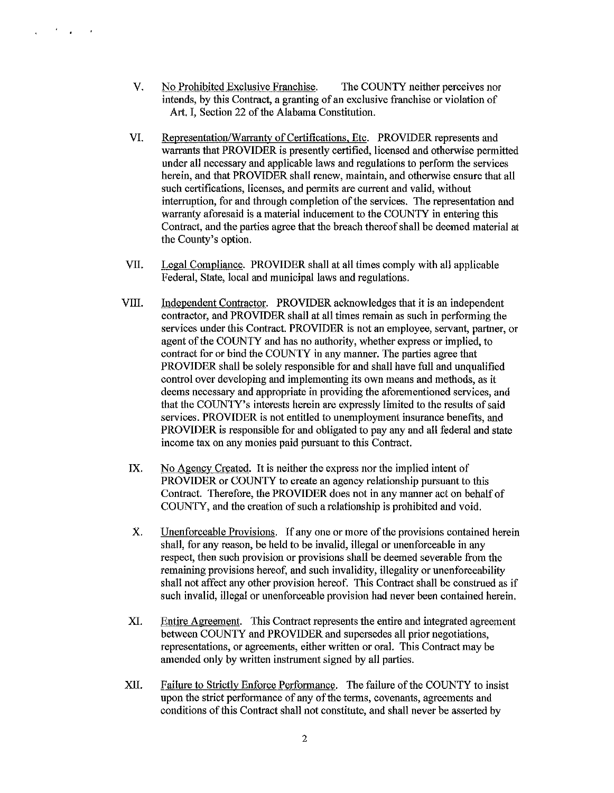V. No Prohibited Exclusive Franchise. The COUNTY neither perceives nor intends, by this Contract, a granting of an exclusive franchise or violation of Art. I, Section 22 of the Alabama Constitution.

 $\mathcal{F}^{\mathcal{E}}_{\mathcal{E}}$  ,  $\mathcal{E}^{\mathcal{E}}_{\mathcal{E}}$  ,  $\mathcal{E}^{\mathcal{E}}_{\mathcal{E}}$ 

 $\mathbf{r}$ 

- VI. Representation/Warranty of Certifications, Etc. PROVIDER represents and warrants that PROVIDER is presently certified, licensed and otherwise permitted under all necessary and applicable laws and regulations to perform the services herein, and that PROVIDER shall renew, maintain, and otherwise ensure that all such certifications, licenses, and permits are current and valid, without interruption, for and through completion of the services. The representation and warranty aforesaid is a material inducement to the COUNTY in entering this Contract, and the parties agree that the breach thereof shall be deemed material at the County's option.
- VII. Legal Compliance. PROVIDER shall at all times comply with all applicable Federal, State, local and municipal laws and regulations.
- VIII. Independent Contractor. PROVIDER acknowledges that it is an independent contractor, and PROVIDER shall at all times remain as such in performing the services under this Contract. PROVIDER is not an employee, servant, partner, or agent of the COUNTY and has no authority, whether express or implied, to contract for or bind the COUNTY in any manner. The parties agree that PROVIDER shall be solely responsible for and shall have full and unqualified control over developing and implementing its own means and methods, as it deems necessary and appropriate in providing the aforementioned services, and that the COUNTY's interests herein are expressly limited to the results of said services. PROVIDER is not entitled to unemployment insurance benefits, and PROVIDER is responsible for and obligated to pay any and all federal and state income tax on any monies paid pursuant to this Contract.
	- IX. No Agency Created. It is neither the express nor the implied intent of PROVIDER or COUNTY to create an agency relationship pursuant to this Contract. Therefore, the PROVIDER does not in any manner act on behalf of COUNTY, and the creation of such a relationship is prohibited and void.
	- X. Unenforceable Provisions. If any one or more of the provisions contained herein shall, for any reason, be held to be invalid, illegal or unenforceable in any respect, then such provision or provisions shall be deemed severable from the remaining provisions hereof, and such invalidity, illegality or unenforceability shall not affect any other provision hereof. This Contract shall be construed as if such invalid, illegal or unenforceable provision had never been contained herein.
- XI. Entire Agreement. This Contract represents the entire and integrated agreement between COUNTY and PROVIDER and supersedes all prior negotiations, representations, or agreements, either written or oral. This Contract may be amended only by written instrument signed by all parties.
- XII. Failure to Strictly Enforce Performance. The failure of the COUNTY to insist upon the strict performance of any of the terms, covenants, agreements and conditions of this Contract shall not constitute, and shall never be asserted by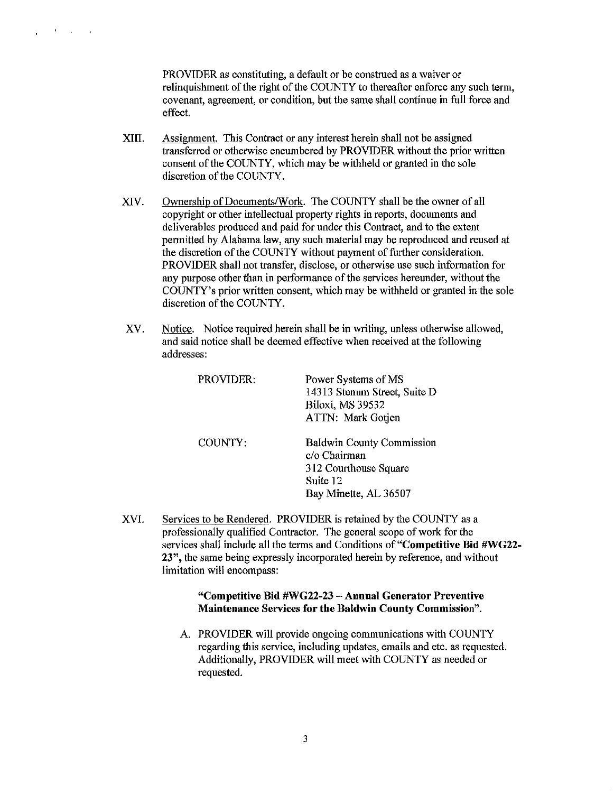PROVIDER as constituting, a default or be construed as a waiver or relinquishment of the right of the COUNTY to thereafter enforce any such term, covenant, agreement, or condition, but the same shall continue in full force and effect.

XIII. Assignment. This Contract or any interest herein shall not be assigned transferred or otherwise encumbered by PROVIDER without the prior written consent of the COUNTY, which may be withheld or granted in the sole discretion of the COUNTY.

 $\sim 10^{11}$  m  $^{-1}$  .

 $\mathbf{r}$ 

- XIV. Ownership of Documents/Work. The COUNTY shall be the owner of all copyright or other intellectual property rights in reports, documents and deliverables produced and paid for under this Contract, and to the extent permitted by Alabama law, any such material may be reproduced and reused at the discretion of the COUNTY without payment of further consideration. PROVIDER shall not transfer, disclose, or otherwise use such information for any purpose other than in performance of the services hereunder, without the COUNTY's prior written consent, which may be withheld or granted in the sole discretion of the COUNTY.
- XV. Notice. Notice required herein shall be in writing, unless otherwise allowed, and said notice shall be deemed effective when received at the following addresses:

| PROVIDER: | Power Systems of MS<br>14313 Stenum Street, Suite D<br><b>Biloxi, MS 39532</b><br>ATTN: Mark Gotien            |
|-----------|----------------------------------------------------------------------------------------------------------------|
| COUNTY:   | <b>Baldwin County Commission</b><br>c/o Chairman<br>312 Courthouse Square<br>Suite 12<br>Bay Minette, AL 36507 |

XVI. Services to be Rendered. PROVIDER is retained by the COUNTY as a professionally qualified Contractor. The general scope of work for the services shall include all the terms and Conditions of "Competitive Bid #WG22-23", the same being expressly incorporated herein by reference, and without limitation will encompass:

#### "Competitive Bid #WG22-23 - Annual Generator Preventive Maintenance Services for the Baldwin County Commission".

A. PROVIDER will provide ongoing communications with COUNTY regarding this service, including updates, emails and etc. as requested. Additionally, PROVIDER will meet with COUNTY as needed or requested.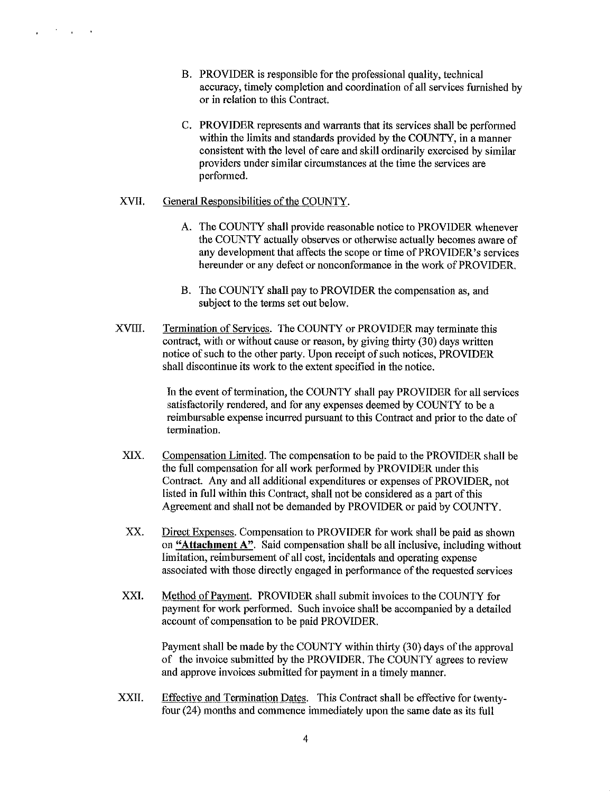- B. PROVIDER is responsible for the professional quality, technical accuracy, timely completion and coordination of all services furnished by or in relation to this Contract.
- C. PROVIDER represents and warrants that its services shall be perfonned within the limits and standards provided by the COUNTY, in a manner consistent with the level of care and skill ordinarily exercised by similar providers under similar circumstances at the time the services are performed.

#### XVII. General Responsibilities of the COUNTY.

 $\sim 200$  km s  $^{-1}$  .

 $\mathbf{r}$ 

- A. The COUNTY shall provide reasonable notice to PROVIDER whenever the COUNTY actually observes or otherwise actually becomes aware of any development that affects the scope or time of PROVIDER's services hereunder or any defect or nonconformance in the work of PROVIDER.
- B. The COUNTY shall pay to PROVIDER the compensation as, and subject to the terms set out below.
- XVIII. Termination of Services. The COUNTY or PROVIDER may terminate this contract, with or without cause or reason, by giving thirty (30) days written notice of such to the other party. Upon receipt of such notices, PROVIDER shall discontinue its work to the extent specified in the notice.

In the event of termination, the COUNTY shall pay PROVIDER for all services satisfactorily rendered, and for any expenses deemed by COUNTY to be a reimbursable expense incurred pursuant to this Contract and prior to the date of termination.

- XIX. Compensation Limited. The compensation to be paid to the PROVIDER shall be the full compensation for all work perfonned by PROVIDER under this Contract. Any and all additional expenditures or expenses of PROVIDER, not listed in full within this Contract, shall not be considered as a part of this Agreement and shall not be demanded by PROVIDER or paid by COUNTY.
- XX. Direct Expenses. Compensation to PROVIDER for work shall be paid as shown on **"Attachment** A". Said compensation shall be all inclusive, including without limitation, reimbursement of all cost, incidentals and operating expense associated with those directly engaged in performance of the requested services
- XXI. Method of Payment. PROVIDER shall submit invoices to the COUNTY for payment for work performed. Such invoice shall be accompanied by a detailed account of compensation to be paid PROVIDER.

Payment shall be made by the COUNTY within thirty (30) days of the approval of the invoice submitted by the PROVIDER. The COUNTY agrees to review and approve invoices submitted for payment in a timely manner.

xxn. Effective and Termination Dates. This Contract shall be effective for twentyfour (24) months and commence immediately upon the same date as its full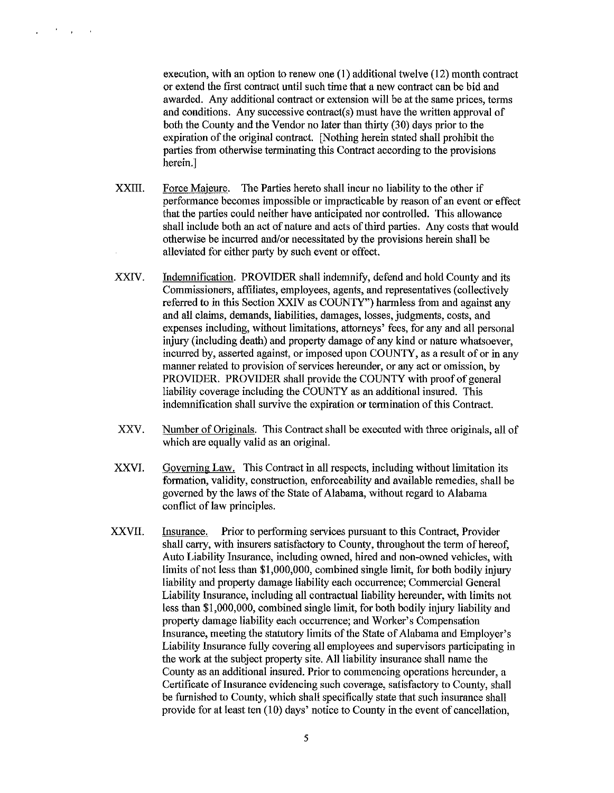execution, with an option to renew one (1) additional twelve (12) month contract or extend the first contract until such time that a new contract can be bid and awarded. Any additional contract or extension will be at the same prices, terms and conditions. Any successive contract(s) must have the written approval of both the County and the Vendor no later than thirty (30) days prior to the expiration of the original contract. [Nothing herein stated shall prohibit the parties from otherwise terminating this Contract according to the provisions herein.]

XXIII. Force Majeure. The Parties hereto shall incur no liability to the other if performance becomes impossible or impracticable by reason of an event or effect that the parties could neither have anticipated nor controlled. This allowance shall include both an act of nature and acts of third parties. Any costs that would otherwise be incurred and/or necessitated by the provisions herein shall be alleviated for either party by such event or effect.

 $\mathcal{F}=\mathcal{F}=\mathcal{F}$ 

 $\mathbf{r}$ 

- XXIV. Indemnification. PROVIDER shall indemnify, defend and hold County and its Commissioners, affiliates, employees, agents, and representatives (collectively referred to in this Section XXIV as COUNTY") harmless from and against any and all claims, demands, liabilities, damages, losses, judgments, costs, and expenses including, without limitations, attorneys' fees, for any and all personal injury (including death) and property damage of any kind or nature whatsoever, incurred by, asserted against, or imposed upon COUNTY, as a result of or in any manner related to provision of services hereunder, or any act or omission, by PROVIDER. PROVIDER shall provide the COUNTY with proof of general liability coverage including the COUNTY as an additional insured. This indemnification shall survive the expiration or termination of this Contract.
- XXV. Number of Originals. This Contract shall be executed with three originals, all of which are equally valid as an original.
- XXVJ. Governing Law. This Contract in all respects, including without limitation its formation, validity, construction, enforceability and available remedies, shall be governed by the laws of the State of Alabama, without regard to Alabama conflict of law principles.
- XXVII. Insurance. Prior to performing services pursuant to this Contract, Provider shall carry, with insurers satisfactory to County, throughout the term of hereof, Auto Liability Insurance, including owned, hired and non-owned vehicles, with limits of not less than \$1,000,000, combined single limit, for both bodily injury liability and property damage liability each occurrence; Commercial General Liability Insurance, including all contractual liability hereunder, with limits not less than \$1,000,000, combined single limit, for both bodily injury liability and property damage liability each occurrence; and Worker's Compensation Insurance, meeting the statutory limits of the State of Alabama and Employer's Liability Insurance fully covering all employees and supervisors participating in the work at the subject property site. All liability insurance shall name the County as an additional insured. Prior to commencing operations hereunder, a Certificate of Insurance evidencing such coverage, satisfactory to County, shall be furnished to County, which shall specifically state that such insurance shall provide for at least ten  $(10)$  days' notice to County in the event of cancellation,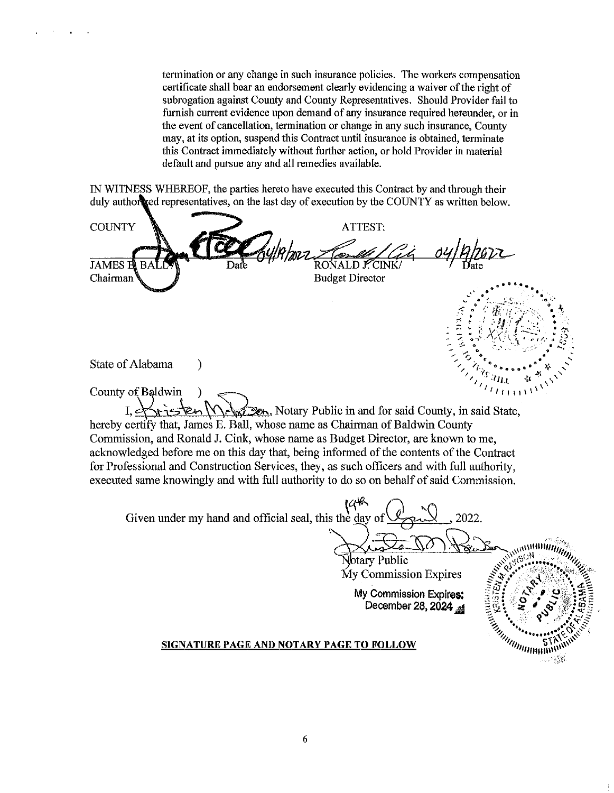termination or any change in such insurance policies. The workers compensation certificate shall bear an endorsement clearly evidencing a waiver of the right of subrogation against County and County Representatives. Should Provider fail to furnish current evidence upon demand of any insurance required hereunder, or in the event of cancellation, termination or change in any such insurance, County may, at its option, suspend this Contract until insurance is obtained, terminate this Contract immediately without further action, or hold Provider in material default and pursue any and all remedies available.

IN WITNESS WHEREOF, the parties hereto have executed this Contract by and through their duly authorized representatives, on the last day of execution by the COUNTY as written below.

**COUNTY** ATTEST: **JAMES E** RONALD I Chairman **Budget Director** State of Alabama  $\mathcal{E}$ County of Baldwin  $\lambda$ Sext Den, Notary Public in and for said County, in said State, hereby certify that, James E. Ball, whose name as Chairman of Baldwin County Commission, and Ronald J. Cink, whose name as Budget Director, are known to me, acknowledged before me on this day that, being informed of the contents of the Contract for Professional and Construction Services, they, as such officers and with full authority, executed same knowingly and with full authority to do so on behalf of said Commission. 198 Given under my hand and official seal, this the day of 2022. muummii Notary Public My Commission Expires My Commission Expires: December 28, 2024 **All Construction Services** SIGNATURE PAGE AND NOTARY PAGE TO FOLLOW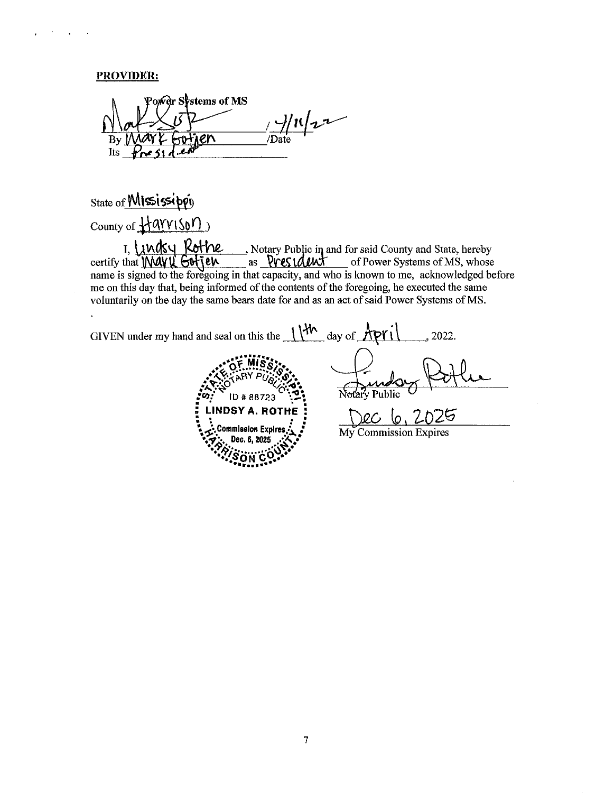#### PROVIDER:

Poner Systems of MS  $\frac{1}{\sqrt{D^2}}$ ien  $Bv$ Its

# State of **MIssissippi**

County of Harrison

I, Lindsy Rothe ..., Notary Public in and for said County and State, hereby<br>as <u>PVCS LALUX</u> of Power Systems of MS, whose of Power Systems of MS, whose name is signed to the foregoing in that capacity, and who is known to me, acknowledged before me on this day that, being informed of the contents of the foregoing, he executed the same voluntarily on the day the same bears date for and as an act of said Power Systems of MS.

GIVEN under my hand and seal on this the  $\frac{1}{4}$  day of  $\frac{A \gamma}{1}$  $, 2022.$ Notary Public ID #88723 **LINDSY A. ROTHE**  $\Omega$ **Commission Expires** My Commission Expires Dec. 6, 2025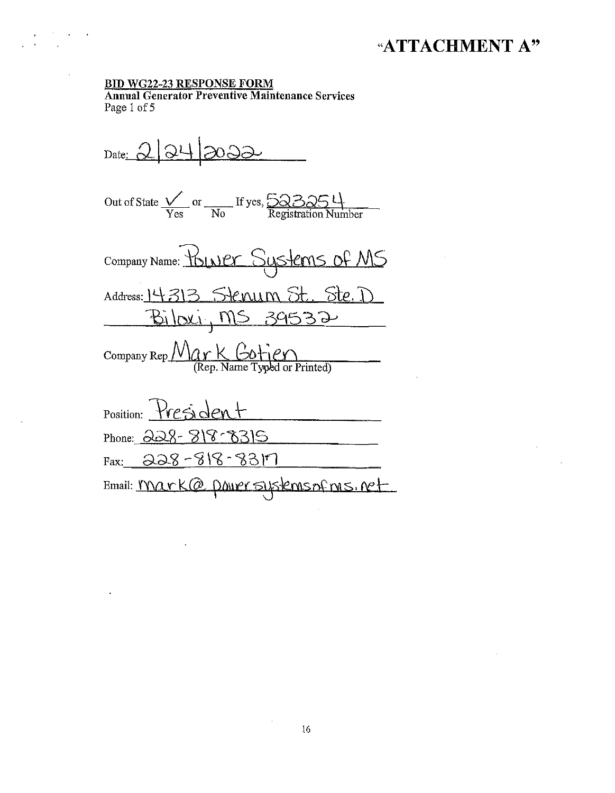## "ATTACHMENT A"

#### **BID WG22-23 RESPONSE FORM**

**Annual Generator Preventive Maintenance Services** Page 1 of 5

 $_{\text{Date:}} 2|24|2032$ Out of State  $\frac{V}{\text{Yes}}$  or  $\frac{V}{\text{No}}$  If yes,  $\frac{523254}{\text{Registration Number}}$ Company Name: Younger Sustems of MS Address: 14313 Stenum St. Ste. D <u> Biloxi, MS 39532</u> Company Rep  $\frac{\mathcal{M}_{\alpha} \times \mathcal{L}_{\alpha} + \mathcal{C}_{\alpha}}{\mathcal{R}_{\alpha} + \mathcal{C}_{\alpha}}$ Position: President Phone: 228-818-8315  $Fax: 228 - 818 - 8317$ 

Email: <u>Mark@ power systemsof ms. ne</u>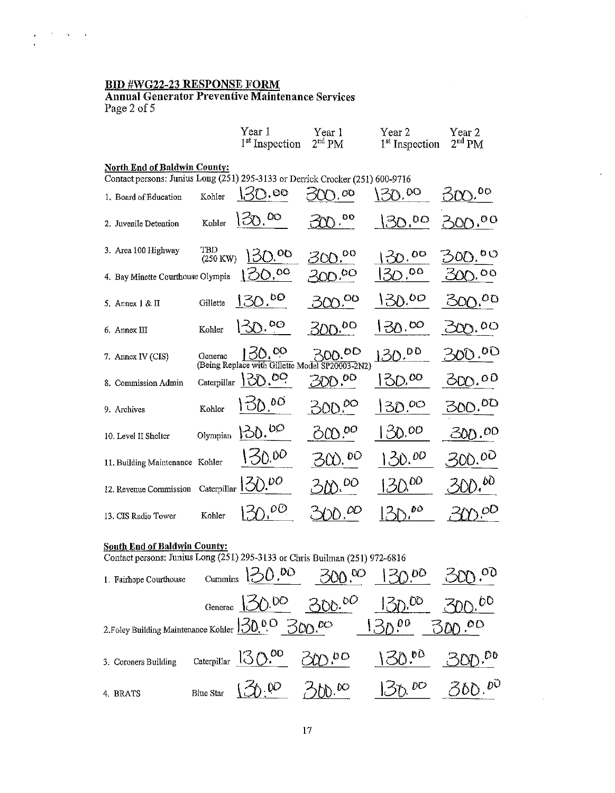### BID #WG22-23 RESPONSE FORM

 $\mathcal{F}(\mathcal{F})$  , we have

Annnal Generator Preventive Maintenance Services Page 2 of 5

|                                                                                                                      |                 | Year 1<br><sup>1st</sup> Inspection                       | Year 1<br>2 <sup>nd</sup> PM           | Year 2<br><sup>1st</sup> Inspection | Year 2<br>2 <sup>nd</sup> PM |
|----------------------------------------------------------------------------------------------------------------------|-----------------|-----------------------------------------------------------|----------------------------------------|-------------------------------------|------------------------------|
| <b>North End of Baldwin County:</b><br>Contact persons: Junius Long (251) 295-3133 or Derrick Crocker (251) 600-9716 |                 |                                                           |                                        |                                     |                              |
| 1. Board of Education                                                                                                | Kohler          | 130.00                                                    | $\mathcal{L}$ , $\partial \mathcal{O}$ | 30.00                               | 0O.                          |
| 2. Juvenile Detention                                                                                                | Kohler          | 150.00                                                    | 0O                                     | 30.00                               | 300.00                       |
| 3. Area 100 Highway                                                                                                  | TBD<br>(250 KW) | 130.00                                                    | oo<br>300,                             | 30.00                               | <b>00</b>                    |
| 4. Bay Minette Courthouse Olympia                                                                                    |                 | 100.00                                                    | $300^{,00}$                            | $130^{00}$                          | $\circ \circ$<br><u>රාල,</u> |
| 5. Annex 1 & II                                                                                                      | Gillette        | <u>13</u> 0.ºº                                            | $300^{00}$                             | 130.00                              | <u>నయింద</u>                 |
| 6. Annex III                                                                                                         | Kohler          | 130.00                                                    | $300^{00}$                             | 130.00                              | 200.00                       |
| 7. Annex IV (CIS)                                                                                                    | Generac         | 130.00<br>(Being Replace with Gillette Model SP20003-2N2) | 300.00                                 | 130.00                              | 300.00                       |
| 8. Commission Admin                                                                                                  | Caterpillar     | 130.00                                                    | 300.00                                 | $130^{00}$                          | <u>300.00</u>                |
| 9. Archives                                                                                                          | Kohler          | 130.00                                                    | $500^{00}$                             | 30.00                               | <u>300.<sup>00</sup></u>     |
| 10. Level II Shelter                                                                                                 | Olympian        | 130.00                                                    | 60000                                  | 30.00                               | 300.00                       |
| 11. Building Maintenance Kohler                                                                                      |                 | 50.00                                                     | 500.00                                 | 130.00                              | 300.00                       |
| 12. Revenue Commission                                                                                               | Caterpillar     | 130.00                                                    | <b>M.</b> 00                           | $30^{00}$                           | 500.60                       |
| 13. CIS Radio Tower                                                                                                  | Kohler          | 0.00                                                      | 200                                    | DO                                  | 3000                         |

 $\ddot{\phantom{a}}$ 

 $\sim 10$ 

## South End of Baldwin County:

| Contact persons: Junius Long (251) 295-3133 or Chris Builman (251) 972-6816        |                                      |                                                     |                   |                    |
|------------------------------------------------------------------------------------|--------------------------------------|-----------------------------------------------------|-------------------|--------------------|
| 1. Fairhope Courthouse                                                             |                                      | $\frac{130.00}{500.00}$ 300.00 $\frac{130.00}{500}$ |                   | $300^{00}$         |
|                                                                                    |                                      | Generac $30.00$ $300.00$ $130.00$                   |                   |                    |
| 2. Foley Building Maintenance Kohler $\sqrt{30.0}$ $\odot$ $\odot$ $\odot$ $\odot$ |                                      |                                                     | $130^{00}$ 300.00 |                    |
| 3. Coroners Building                                                               | Caterpillar $130.00$ $300.00$        |                                                     | $130.^{80}$       | $300^{00}$         |
| 4 BRATS                                                                            | Blue Star $\{\preceq\rho, \nu\rho\}$ | 360.00                                              | 5000              | 30D. <sup>00</sup> |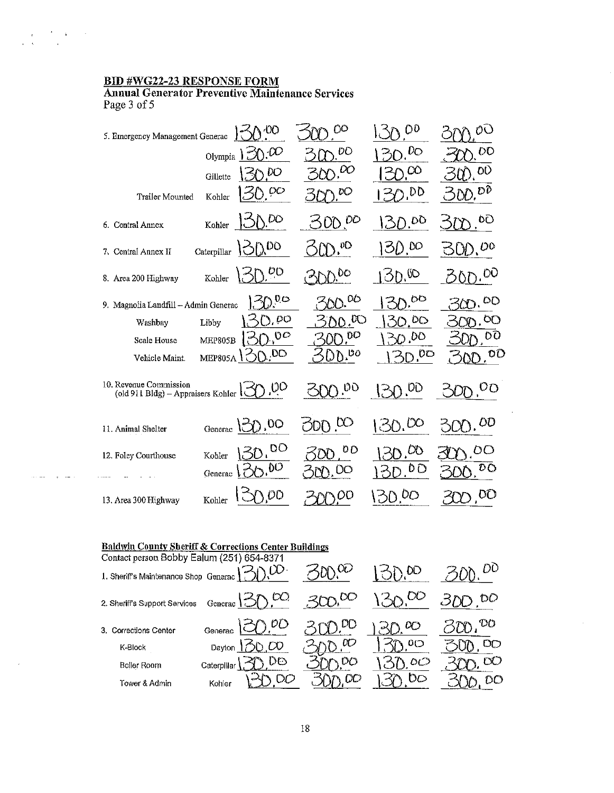#### BID #WG22-23 RESPONSE FORM

 $\frac{1}{\sqrt{2}}\left(\frac{1}{\sqrt{2}}\right)^{2}=\frac{1}{2}\left(\frac{1}{\sqrt{2}}\right)^{2}=\frac{1}{2}\left(\frac{1}{2}\right)^{2}$ 

والقطاري المتناوي

 $\bar{\bar{z}}$ 

Annual Generator Preventive Maintenance Services Page 3 of 5

| 5. Emergency Management Generac                              |                | \ OO                       | OО                              | 0 <sup>0</sup>         | OC                                 |
|--------------------------------------------------------------|----------------|----------------------------|---------------------------------|------------------------|------------------------------------|
|                                                              | Olympia        | 20.00                      | DΟ                              | $D$ . DO               | DO                                 |
|                                                              | Gillette       | Y DO                       | $\infty$ 00                     | $\gamma$ CO            | DU                                 |
| Trailer Mounted                                              | Kohler         | 50. <sup>00</sup>          | ုပ္ခ                            | 30.00                  | 300.00                             |
| 6. Central Annex                                             | Kohler         | $N^{DO}$                   | $DD$ <sup><math>DO</math></sup> | D.00                   | 0O                                 |
| 7. Central Annex II                                          | Caterpillar    | n 00                       | $\lambda$ , OD                  | ID.00                  | $\underline{\cup}$ . <sup>00</sup> |
| 8. Area 200 Highway                                          | Kohler         | $\mathcal{O}(\mathcal{O})$ | -DO                             | 50.00                  | OON. <sup>00</sup>                 |
| 9. Magnolia Landfill - Admin Generac                         |                | $\mathcal{D}^{0,\infty}$   | , OG                            | $\sqrt{50}$            | OQ.                                |
| Washbay                                                      | Libby          | ა, ხი                      | <u>00.00</u>                    | 0.00                   | OO)                                |
| Scale House                                                  | <b>MEP805B</b> | 2.00                       | ņО                              | 0.00                   | ΟO                                 |
| Vehicle Maint.                                               | <b>MEP805A</b> | $\gamma$ , DO              | $D^{00}$<br>D                   | $D^{00}$               | 00.00                              |
| 10. Revenue Commission<br>(old 911 Bldg) - Appraisers Kohler |                | 30.00                      | 20.00                           | 2,00<br>$\mathbb{R}^2$ | SOD. <sup>00</sup>                 |
| 11. Animal Shelter                                           | Generac        | 150.00                     | $\infty$ oo                     | 15000                  | DD                                 |
| 12. Foley Courthouse                                         | Kohler         | po                         | 0O                              | $O_{\mathbf{O}}$       | OC                                 |
|                                                              | Generac        | 10(5)                      | M. DO                           | りい                     | DΟ                                 |
| 13. Area 300 Highway                                         | Kohler         | DO                         | ΟO                              | (). <sup>00</sup>      | DQ.                                |

J.

#### Baldwin County Sheriff & Corrections Center Buildings

| Contact person Bobby Ealum (251) 654-8371 |             |                      |            |               |         |
|-------------------------------------------|-------------|----------------------|------------|---------------|---------|
| 1. Sheriff's Maintenance Shop Generac     |             | 200                  |            | DD            |         |
| 2. Sheriff's Support Services             |             | Generac $30^{\circ}$ | $300^{00}$ | OQ            |         |
| 3. Corrections Center                     | Generac     | $\mathcal{O}O$       | DO         | $\infty$      | DO      |
| K-Block                                   |             | Dayton $30.00$       | $_{\nu}$   | O(            | DD      |
| Boller Room                               | Caterpillar | DO                   | OO         | $\circ \circ$ | $\Im$ ) |
| Tower & Admin                             | Kohler      |                      |            |               |         |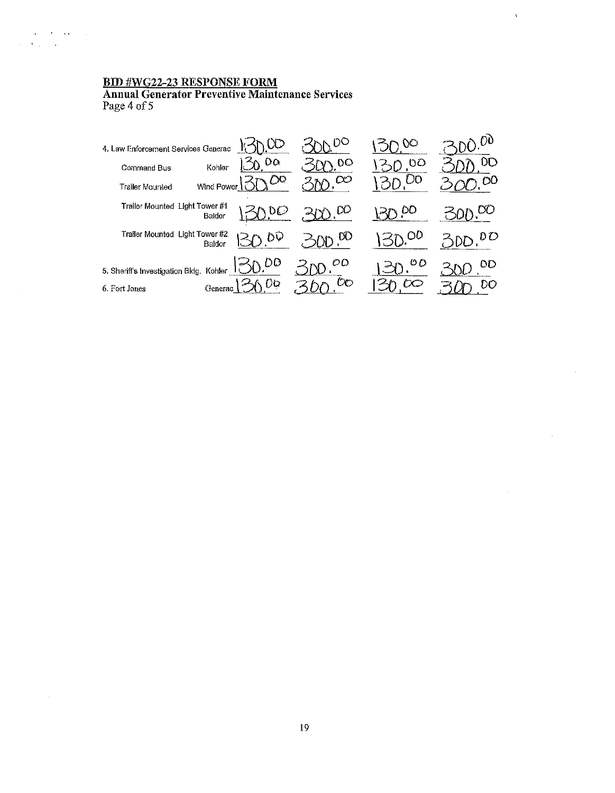$\chi^2_{\rm{max}}$  , where  $\chi^2_{\rm{max}}$  $\Delta \phi_{\rm{max}}$  and  $\phi_{\rm{max}}$ 

 $\mathcal{A}$ 

**BID #WG22-23 RESPONSE FORM<br>Annual Generator Preventive Maintenance Services**<br>Page 4 of 5

| 4. Law Enforcement Services Generac     |                  |                              | $\infty$    | . nd |
|-----------------------------------------|------------------|------------------------------|-------------|------|
| Command Bus                             | Oα<br>Kohler     | 00                           | ပဝ          | OD   |
| <b>Trailer Mounted</b>                  | OQ<br>Wind Power | $\infty$                     | $\gamma$ 00 | OO   |
| Trailer Mounted Light Tower#1           | υO<br>Baldor     | DΟ                           | CO          |      |
| Trailer Mounted Light Tower #2          | DV<br>Baldor     | $\gamma_{\rm D}$ $^{\rm OO}$ | OD          | D D  |
| 5. Sheriff's Investigation Bldg. Kohler | 3000             | oo                           | OΟ          | OΟ   |
| 6. Fort Jones                           | OG.<br>Generac   | OO                           | $\varpi$    | DO   |

 $\hat{\mathbf{v}}$ 

 $\mathcal{L}_{\text{in}}$